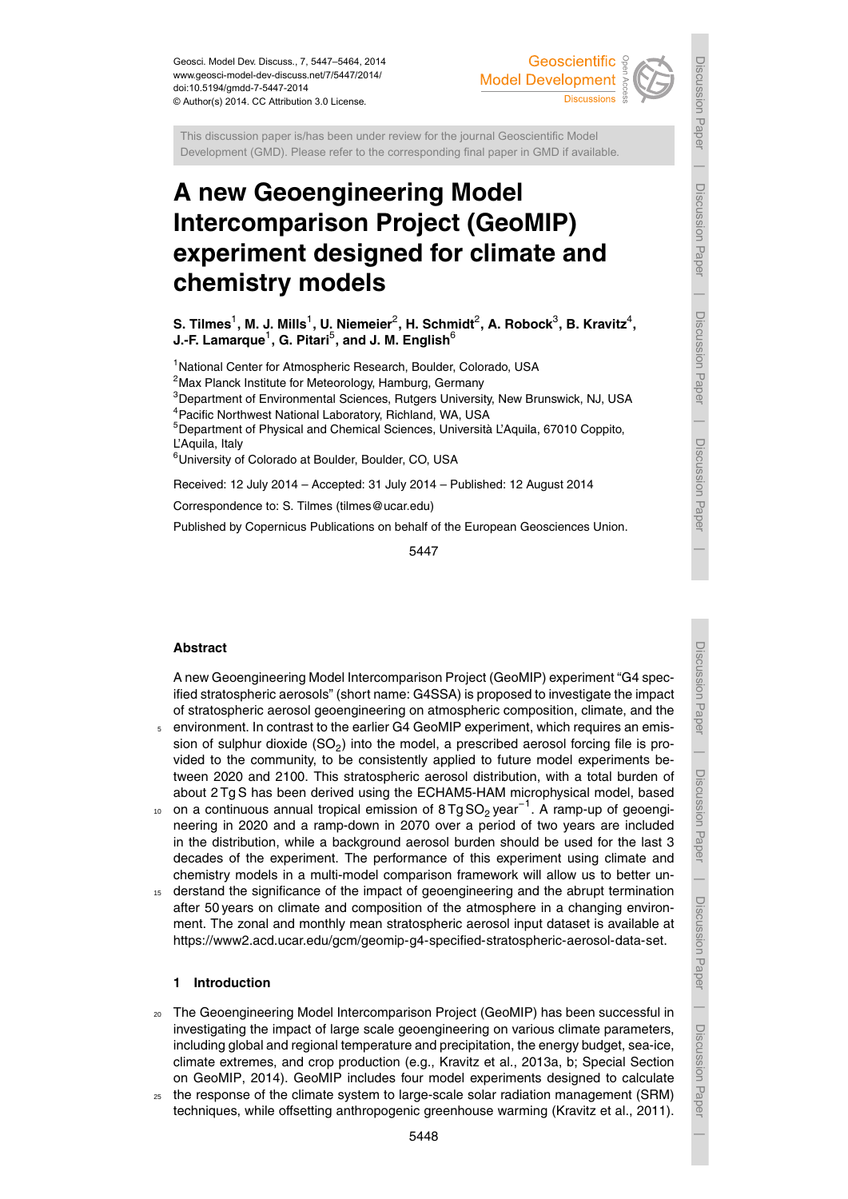Geosci. Model Dev. Discuss., 7, 5447–5464, 2014 www.geosci-model-dev-discuss.net/7/5447/2014/ doi:10.5194/gmdd-7-5447-2014 © Author(s) 2014. CC Attribution 3.0 License.

# Geoscientific **Model Development**

This discussion paper is/has been under review for the journal Geoscientific Model Development (GMD). Please refer to the corresponding final paper in GMD if available.

# **A new Geoengineering Model Intercomparison Project (GeoMIP) experiment designed for climate and chemistry models**

 $\boldsymbol{\mathsf{S}}$ . Tilmes<sup>1</sup>, M. J. Mills<sup>1</sup>, U. Niemeier $^2$ , H. Schmidt $^2$ , A. Robock $^3$ , B. Kravitz $^4,$ **J.-F. Lamarque** $^1$ **, G. Pitari** $^5$ **, and J. M. English** $^6$ 

<sup>1</sup>National Center for Atmospheric Research, Boulder, Colorado, USA

 $2$ Max Planck Institute for Meteorology, Hamburg, Germany

<sup>3</sup>Department of Environmental Sciences, Rutgers University, New Brunswick, NJ, USA <sup>4</sup>Pacific Northwest National Laboratory, Richland, WA, USA

<sup>5</sup>Department of Physical and Chemical Sciences, Università L'Aquila, 67010 Coppito, L'Aquila, Italy

<sup>6</sup>University of Colorado at Boulder, Boulder, CO, USA

Received: 12 July 2014 – Accepted: 31 July 2014 – Published: 12 August 2014

Correspondence to: S. Tilmes (tilmes@ucar.edu)

Published by Copernicus Publications on behalf of the European Geosciences Union.

5447

# **Abstract**

A new Geoengineering Model Intercomparison Project (GeoMIP) experiment "G4 specified stratospheric aerosols" (short name: G4SSA) is proposed to investigate the impact of stratospheric aerosol geoengineering on atmospheric composition, climate, and the <sup>5</sup> environment. In contrast to the earlier G4 GeoMIP experiment, which requires an emis-

- sion of sulphur dioxide (SO<sub>2</sub>) into the model, a prescribed aerosol forcing file is provided to the community, to be consistently applied to future model experiments between 2020 and 2100. This stratospheric aerosol distribution, with a total burden of about 2 Tg S has been derived using the ECHAM5-HAM microphysical model, based
- 10 on a continuous annual tropical emission of 8 Tg SO<sub>2</sub> year<sup>-1</sup>. A ramp-up of geoengineering in 2020 and a ramp-down in 2070 over a period of two years are included in the distribution, while a background aerosol burden should be used for the last 3 decades of the experiment. The performance of this experiment using climate and chemistry models in a multi-model comparison framework will allow us to better un-
- <sup>15</sup> derstand the significance of the impact of geoengineering and the abrupt termination after 50 years on climate and composition of the atmosphere in a changing environment. The zonal and monthly mean stratospheric aerosol input dataset is available at https://www2.acd.ucar.edu/gcm/geomip-g4-specified-stratospheric-aerosol-data-set.

#### **1 Introduction**

- <sup>20</sup> The Geoengineering Model Intercomparison Project (GeoMIP) has been successful in investigating the impact of large scale geoengineering on various climate parameters, including global and regional temperature and precipitation, the energy budget, sea-ice, climate extremes, and crop production (e.g., Kravitz et al., 2013a, b; Special Section on GeoMIP, 2014). GeoMIP includes four model experiments designed to calculate
- <sup>25</sup> the response of the climate system to large-scale solar radiation management (SRM) techniques, while offsetting anthropogenic greenhouse warming (Kravitz et al., 2011).

Discussion Paper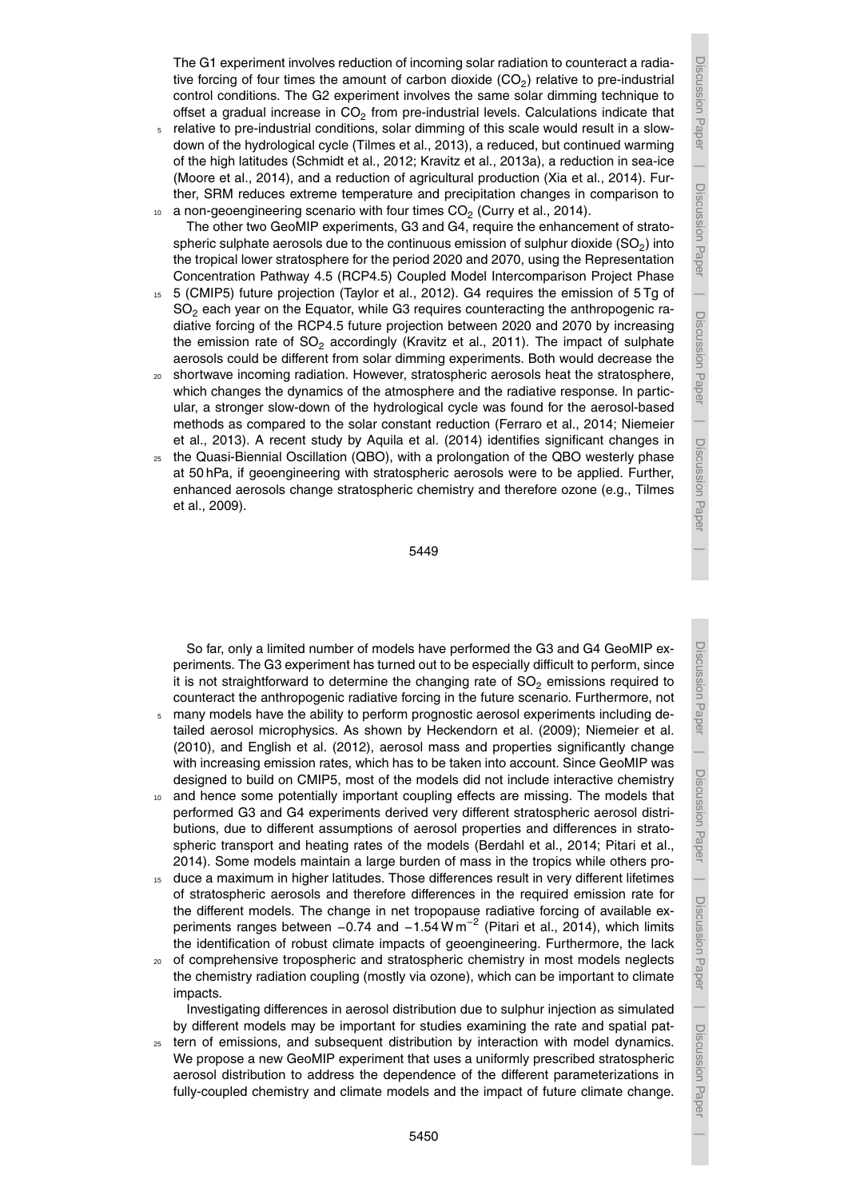The G1 experiment involves reduction of incoming solar radiation to counteract a radiative forcing of four times the amount of carbon dioxide (CO<sub>2</sub>) relative to pre-industrial control conditions. The G2 experiment involves the same solar dimming technique to offset a gradual increase in CO<sub>2</sub> from pre-industrial levels. Calculations indicate that

- <sup>5</sup> relative to pre-industrial conditions, solar dimming of this scale would result in a slowdown of the hydrological cycle (Tilmes et al., 2013), a reduced, but continued warming of the high latitudes (Schmidt et al., 2012; Kravitz et al., 2013a), a reduction in sea-ice (Moore et al., 2014), and a reduction of agricultural production (Xia et al., 2014). Further, SRM reduces extreme temperature and precipitation changes in comparison to
- $_{10}$  anon-geoengineering scenario with four times CO<sub>2</sub> (Curry et al., 2014). The other two GeoMIP experiments, G3 and G4, require the enhancement of stratospheric sulphate aerosols due to the continuous emission of sulphur dioxide (SO<sub>2</sub>) into the tropical lower stratosphere for the period 2020 and 2070, using the Representation Concentration Pathway 4.5 (RCP4.5) Coupled Model Intercomparison Project Phase
- <sup>15</sup> 5 (CMIP5) future projection (Taylor et al., 2012). G4 requires the emission of 5 Tg of  $SO<sub>2</sub>$  each year on the Equator, while G3 requires counteracting the anthropogenic radiative forcing of the RCP4.5 future projection between 2020 and 2070 by increasing the emission rate of  $SO<sub>2</sub>$  accordingly (Kravitz et al., 2011). The impact of sulphate aerosols could be different from solar dimming experiments. Both would decrease the
- <sup>20</sup> shortwave incoming radiation. However, stratospheric aerosols heat the stratosphere, which changes the dynamics of the atmosphere and the radiative response. In particular, a stronger slow-down of the hydrological cycle was found for the aerosol-based methods as compared to the solar constant reduction (Ferraro et al., 2014; Niemeier et al., 2013). A recent study by Aquila et al. (2014) identifies significant changes in
- <sup>25</sup> the Quasi-Biennial Oscillation (QBO), with a prolongation of the QBO westerly phase at 50 hPa, if geoengineering with stratospheric aerosols were to be applied. Further, enhanced aerosols change stratospheric chemistry and therefore ozone (e.g., Tilmes et al., 2009).

So far, only a limited number of models have performed the G3 and G4 GeoMIP experiments. The G3 experiment has turned out to be especially difficult to perform, since it is not straightforward to determine the changing rate of  $SO<sub>2</sub>$  emissions required to counteract the anthropogenic radiative forcing in the future scenario. Furthermore, not

- <sup>5</sup> many models have the ability to perform prognostic aerosol experiments including detailed aerosol microphysics. As shown by Heckendorn et al. (2009); Niemeier et al. (2010), and English et al. (2012), aerosol mass and properties significantly change with increasing emission rates, which has to be taken into account. Since GeoMIP was designed to build on CMIP5, most of the models did not include interactive chemistry
- <sup>10</sup> and hence some potentially important coupling effects are missing. The models that performed G3 and G4 experiments derived very different stratospheric aerosol distributions, due to different assumptions of aerosol properties and differences in stratospheric transport and heating rates of the models (Berdahl et al., 2014; Pitari et al., 2014). Some models maintain a large burden of mass in the tropics while others pro-
- 15 duce a maximum in higher latitudes. Those differences result in very different lifetimes of stratospheric aerosols and therefore differences in the required emission rate for the different models. The change in net tropopause radiative forcing of available experiments ranges between  $-0.74$  and  $-1.54$  W m<sup>-2</sup> (Pitari et al., 2014), which limits the identification of robust climate impacts of geoengineering. Furthermore, the lack
- <sup>20</sup> of comprehensive tropospheric and stratospheric chemistry in most models neglects the chemistry radiation coupling (mostly via ozone), which can be important to climate impacts.

Investigating differences in aerosol distribution due to sulphur injection as simulated by different models may be important for studies examining the rate and spatial pat-

<sup>25</sup> tern of emissions, and subsequent distribution by interaction with model dynamics. We propose a new GeoMIP experiment that uses a uniformly prescribed stratospheric aerosol distribution to address the dependence of the different parameterizations in fully-coupled chemistry and climate models and the impact of future climate change.

Discussion Paper

 $\overline{\phantom{a}}$ 

Discussion Paper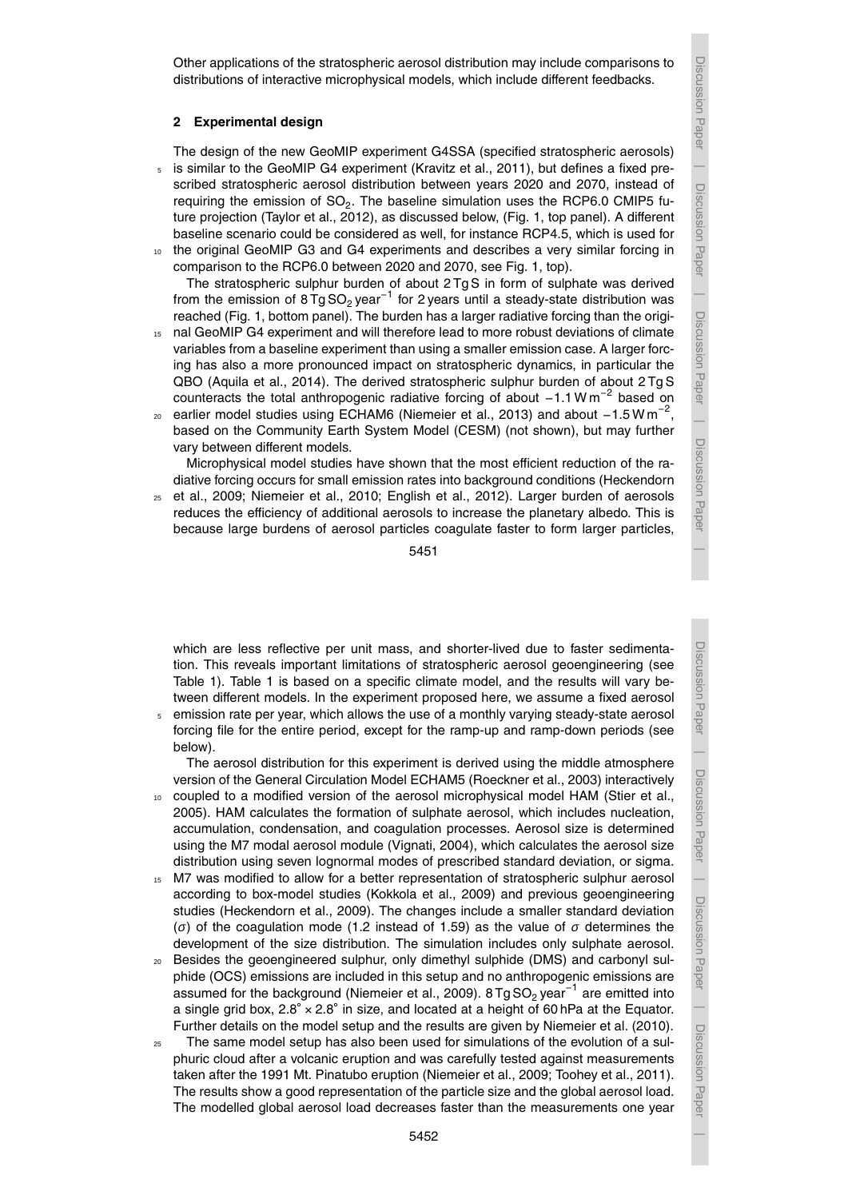Other applications of the stratospheric aerosol distribution may include comparisons to distributions of interactive microphysical models, which include different feedbacks.

#### **2 Experimental design**

The design of the new GeoMIP experiment G4SSA (specified stratospheric aerosols) <sup>5</sup> is similar to the GeoMIP G4 experiment (Kravitz et al., 2011), but defines a fixed prescribed stratospheric aerosol distribution between years 2020 and 2070, instead of requiring the emission of SO<sub>2</sub>. The baseline simulation uses the RCP6.0 CMIP5 future projection (Taylor et al., 2012), as discussed below, (Fig. 1, top panel). A different baseline scenario could be considered as well, for instance RCP4.5, which is used for <sup>10</sup> the original GeoMIP G3 and G4 experiments and describes a very similar forcing in

comparison to the RCP6.0 between 2020 and 2070, see Fig. 1, top). The stratospheric sulphur burden of about 2 Tg S in form of sulphate was derived from the emission of 8Tg SO<sub>2</sub> year<sup>-1</sup> for 2 years until a steady-state distribution was reached (Fig. 1, bottom panel). The burden has a larger radiative forcing than the origi-

- 15 nal GeoMIP G4 experiment and will therefore lead to more robust deviations of climate variables from a baseline experiment than using a smaller emission case. A larger forcing has also a more pronounced impact on stratospheric dynamics, in particular the QBO (Aquila et al., 2014). The derived stratospheric sulphur burden of about 2 Tg S counteracts the total anthropogenic radiative forcing of about -1.1 W m<sup>-2</sup> based on
- 20 earlier model studies using ECHAM6 (Niemeier et al., 2013) and about  $-1.5$  W m<sup>-2</sup>, based on the Community Earth System Model (CESM) (not shown), but may further vary between different models.

Microphysical model studies have shown that the most efficient reduction of the radiative forcing occurs for small emission rates into background conditions (Heckendorn

<sup>25</sup> et al., 2009; Niemeier et al., 2010; English et al., 2012). Larger burden of aerosols reduces the efficiency of additional aerosols to increase the planetary albedo. This is because large burdens of aerosol particles coagulate faster to form larger particles,

5451

which are less reflective per unit mass, and shorter-lived due to faster sedimentation. This reveals important limitations of stratospheric aerosol geoengineering (see Table 1). Table 1 is based on a specific climate model, and the results will vary between different models. In the experiment proposed here, we assume a fixed aerosol

<sup>5</sup> emission rate per year, which allows the use of a monthly varying steady-state aerosol forcing file for the entire period, except for the ramp-up and ramp-down periods (see below).

The aerosol distribution for this experiment is derived using the middle atmosphere version of the General Circulation Model ECHAM5 (Roeckner et al., 2003) interactively

- 10 coupled to a modified version of the aerosol microphysical model HAM (Stier et al., 2005). HAM calculates the formation of sulphate aerosol, which includes nucleation, accumulation, condensation, and coagulation processes. Aerosol size is determined using the M7 modal aerosol module (Vignati, 2004), which calculates the aerosol size distribution using seven lognormal modes of prescribed standard deviation, or sigma.
- 15 M7 was modified to allow for a better representation of stratospheric sulphur aerosol according to box-model studies (Kokkola et al., 2009) and previous geoengineering studies (Heckendorn et al., 2009). The changes include a smaller standard deviation (*σ*) of the coagulation mode (1.2 instead of 1.59) as the value of *σ* determines the development of the size distribution. The simulation includes only sulphate aerosol.
- <sup>20</sup> Besides the geoengineered sulphur, only dimethyl sulphide (DMS) and carbonyl sulphide (OCS) emissions are included in this setup and no anthropogenic emissions are assumed for the background (Niemeier et al., 2009). 8Tg SO<sub>2</sub> year<sup>-1</sup> are emitted into a single grid box,  $2.8^\circ \times 2.8^\circ$  in size, and located at a height of 60 hPa at the Equator. Further details on the model setup and the results are given by Niemeier et al. (2010).
- The same model setup has also been used for simulations of the evolution of a sulphuric cloud after a volcanic eruption and was carefully tested against measurements taken after the 1991 Mt. Pinatubo eruption (Niemeier et al., 2009; Toohey et al., 2011). The results show a good representation of the particle size and the global aerosol load. The modelled global aerosol load decreases faster than the measurements one year

 $\overline{\phantom{a}}$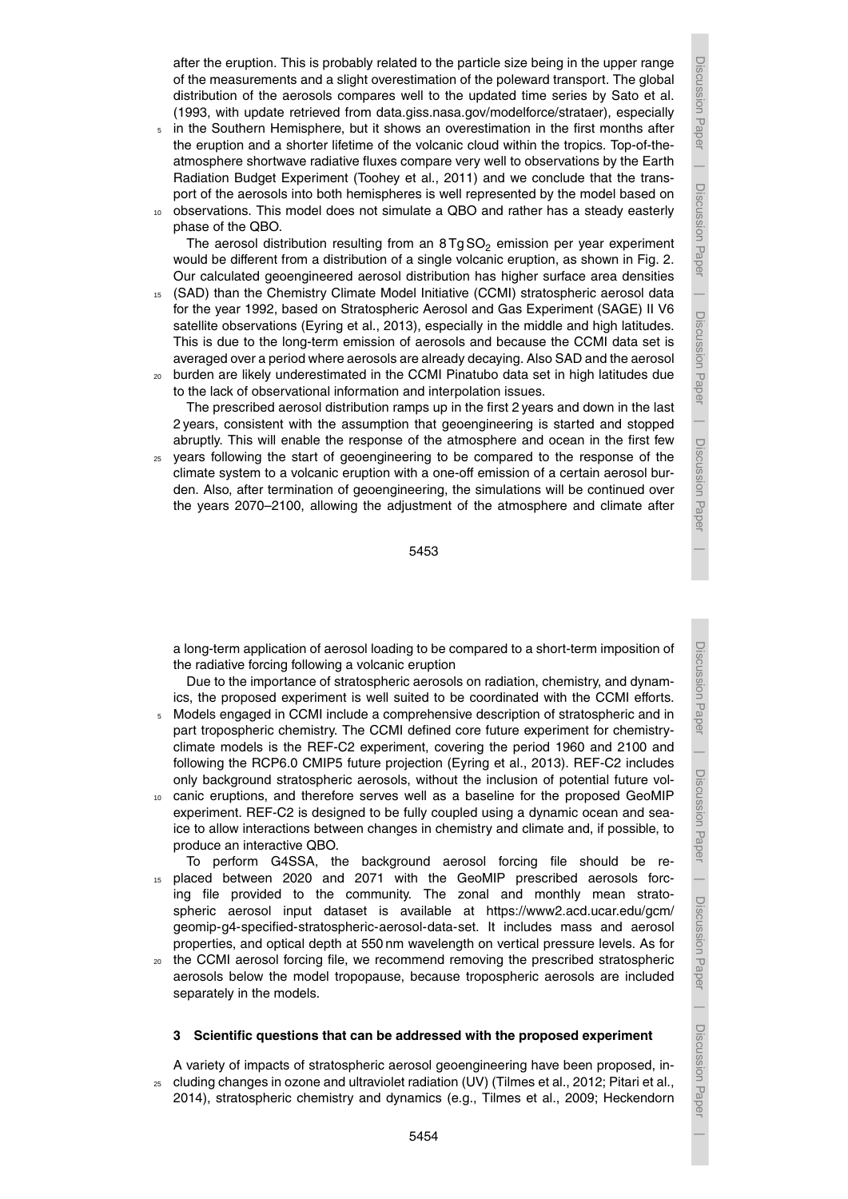after the eruption. This is probably related to the particle size being in the upper range of the measurements and a slight overestimation of the poleward transport. The global distribution of the aerosols compares well to the updated time series by Sato et al. (1993, with update retrieved from data.giss.nasa.gov/modelforce/strataer), especially

- <sup>5</sup> in the Southern Hemisphere, but it shows an overestimation in the first months after the eruption and a shorter lifetime of the volcanic cloud within the tropics. Top-of-theatmosphere shortwave radiative fluxes compare very well to observations by the Earth Radiation Budget Experiment (Toohey et al., 2011) and we conclude that the transport of the aerosols into both hemispheres is well represented by the model based on
- <sup>10</sup> observations. This model does not simulate a QBO and rather has a steady easterly phase of the QBO.

The aerosol distribution resulting from an  $8 \text{ Tg SO}_2$  emission per year experiment would be different from a distribution of a single volcanic eruption, as shown in Fig. 2. Our calculated geoengineered aerosol distribution has higher surface area densities

- <sup>15</sup> (SAD) than the Chemistry Climate Model Initiative (CCMI) stratospheric aerosol data for the year 1992, based on Stratospheric Aerosol and Gas Experiment (SAGE) II V6 satellite observations (Eyring et al., 2013), especially in the middle and high latitudes. This is due to the long-term emission of aerosols and because the CCMI data set is averaged over a period where aerosols are already decaying. Also SAD and the aerosol
- <sup>20</sup> burden are likely underestimated in the CCMI Pinatubo data set in high latitudes due to the lack of observational information and interpolation issues.

The prescribed aerosol distribution ramps up in the first 2 years and down in the last 2 years, consistent with the assumption that geoengineering is started and stopped abruptly. This will enable the response of the atmosphere and ocean in the first few

<sup>25</sup> years following the start of geoengineering to be compared to the response of the climate system to a volcanic eruption with a one-off emission of a certain aerosol burden. Also, after termination of geoengineering, the simulations will be continued over the years 2070–2100, allowing the adjustment of the atmosphere and climate after

a long-term application of aerosol loading to be compared to a short-term imposition of the radiative forcing following a volcanic eruption

Due to the importance of stratospheric aerosols on radiation, chemistry, and dynamics, the proposed experiment is well suited to be coordinated with the CCMI efforts.

- <sup>5</sup> Models engaged in CCMI include a comprehensive description of stratospheric and in part tropospheric chemistry. The CCMI defined core future experiment for chemistryclimate models is the REF-C2 experiment, covering the period 1960 and 2100 and following the RCP6.0 CMIP5 future projection (Eyring et al., 2013). REF-C2 includes only background stratospheric aerosols, without the inclusion of potential future vol-
- <sup>10</sup> canic eruptions, and therefore serves well as a baseline for the proposed GeoMIP experiment. REF-C2 is designed to be fully coupled using a dynamic ocean and seaice to allow interactions between changes in chemistry and climate and, if possible, to produce an interactive QBO.
- To perform G4SSA, the background aerosol forcing file should be re-<sup>15</sup> placed between 2020 and 2071 with the GeoMIP prescribed aerosols forcing file provided to the community. The zonal and monthly mean stratospheric aerosol input dataset is available at https://www2.acd.ucar.edu/gcm/ geomip-g4-specified-stratospheric-aerosol-data-set. It includes mass and aerosol properties, and optical depth at 550 nm wavelength on vertical pressure levels. As for
- <sup>20</sup> the CCMI aerosol forcing file, we recommend removing the prescribed stratospheric aerosols below the model tropopause, because tropospheric aerosols are included separately in the models.

#### **3 Scientific questions that can be addressed with the proposed experiment**

A variety of impacts of stratospheric aerosol geoengineering have been proposed, in-<sup>25</sup> cluding changes in ozone and ultraviolet radiation (UV) (Tilmes et al., 2012; Pitari et al., 2014), stratospheric chemistry and dynamics (e.g., Tilmes et al., 2009; Heckendorn Discussion Paper

Discussion Paper

 $\overline{\phantom{a}}$ 

Discussion Paper

Discussion Paper

 $\overline{\phantom{a}}$ 

Discussion Paper

 $\overline{\phantom{a}}$ 

Discussion Paper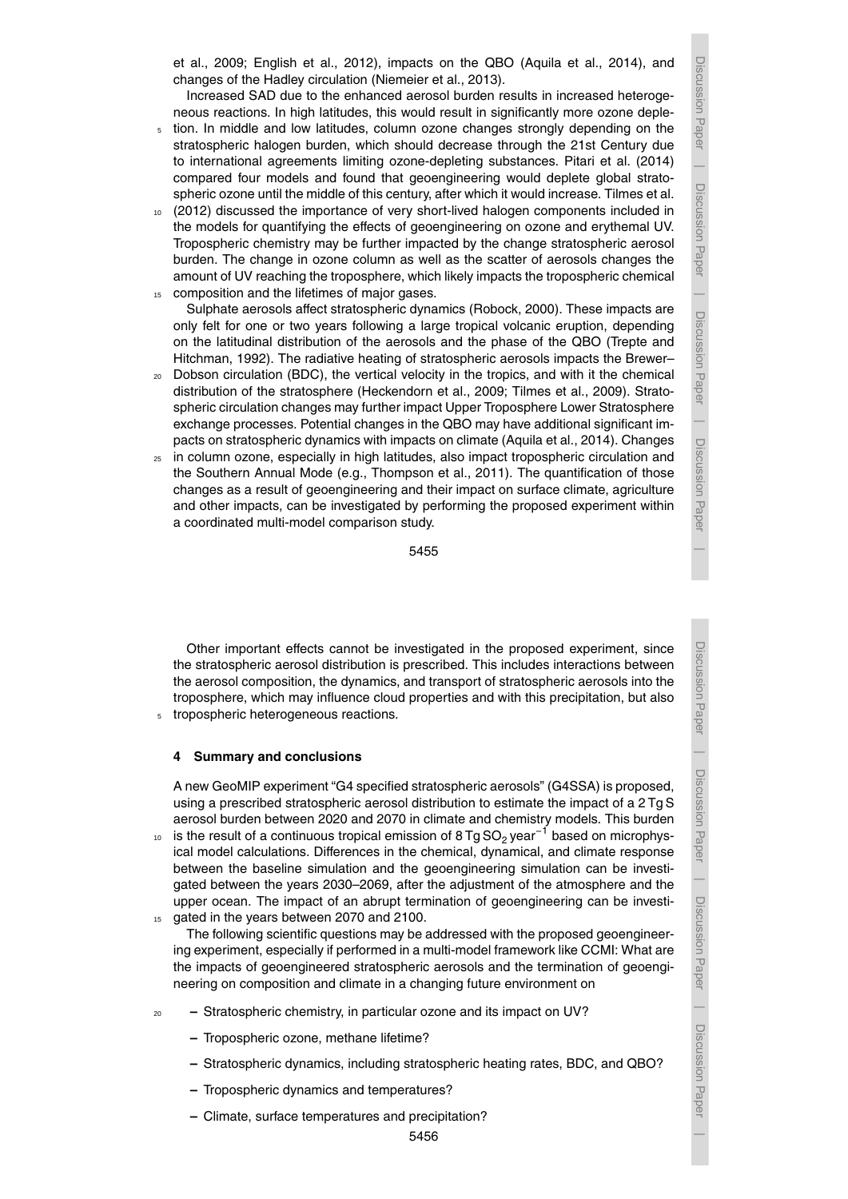Discussion Paper

 $\overline{\phantom{a}}$ 

Discussion Paper

 $\overline{\phantom{a}}$ 

Discussion Paper

 $\overline{\phantom{a}}$ 

Discussion Paper

 $\overline{\phantom{a}}$ 

et al., 2009; English et al., 2012), impacts on the QBO (Aquila et al., 2014), and changes of the Hadley circulation (Niemeier et al., 2013).

Increased SAD due to the enhanced aerosol burden results in increased heterogeneous reactions. In high latitudes, this would result in significantly more ozone deple-

- <sup>5</sup> tion. In middle and low latitudes, column ozone changes strongly depending on the stratospheric halogen burden, which should decrease through the 21st Century due to international agreements limiting ozone-depleting substances. Pitari et al. (2014) compared four models and found that geoengineering would deplete global stratospheric ozone until the middle of this century, after which it would increase. Tilmes et al.
- <sup>10</sup> (2012) discussed the importance of very short-lived halogen components included in the models for quantifying the effects of geoengineering on ozone and erythemal UV. Tropospheric chemistry may be further impacted by the change stratospheric aerosol burden. The change in ozone column as well as the scatter of aerosols changes the amount of UV reaching the troposphere, which likely impacts the tropospheric chemical 15 composition and the lifetimes of major gases.
- Sulphate aerosols affect stratospheric dynamics (Robock, 2000). These impacts are only felt for one or two years following a large tropical volcanic eruption, depending on the latitudinal distribution of the aerosols and the phase of the QBO (Trepte and Hitchman, 1992). The radiative heating of stratospheric aerosols impacts the Brewer–
- <sup>20</sup> Dobson circulation (BDC), the vertical velocity in the tropics, and with it the chemical distribution of the stratosphere (Heckendorn et al., 2009; Tilmes et al., 2009). Stratospheric circulation changes may further impact Upper Troposphere Lower Stratosphere exchange processes. Potential changes in the QBO may have additional significant impacts on stratospheric dynamics with impacts on climate (Aquila et al., 2014). Changes
- <sup>25</sup> in column ozone, especially in high latitudes, also impact tropospheric circulation and the Southern Annual Mode (e.g., Thompson et al., 2011). The quantification of those changes as a result of geoengineering and their impact on surface climate, agriculture and other impacts, can be investigated by performing the proposed experiment within a coordinated multi-model comparison study.

5455

Other important effects cannot be investigated in the proposed experiment, since the stratospheric aerosol distribution is prescribed. This includes interactions between the aerosol composition, the dynamics, and transport of stratospheric aerosols into the troposphere, which may influence cloud properties and with this precipitation, but also tropospheric heterogeneous reactions.

## **4 Summary and conclusions**

A new GeoMIP experiment "G4 specified stratospheric aerosols" (G4SSA) is proposed, using a prescribed stratospheric aerosol distribution to estimate the impact of a 2 Tg S aerosol burden between 2020 and 2070 in climate and chemistry models. This burden

- <sub>10</sub> is the result of a continuous tropical emission of 8 Tg SO<sub>2</sub> year<sup>−1</sup> based on microphysical model calculations. Differences in the chemical, dynamical, and climate response between the baseline simulation and the geoengineering simulation can be investigated between the years 2030–2069, after the adjustment of the atmosphere and the upper ocean. The impact of an abrupt termination of geoengineering can be investi-15 gated in the years between 2070 and 2100.
	- The following scientific questions may be addressed with the proposed geoengineering experiment, especially if performed in a multi-model framework like CCMI: What are the impacts of geoengineered stratospheric aerosols and the termination of geoengineering on composition and climate in a changing future environment on
- <sup>20</sup> **–** Stratospheric chemistry, in particular ozone and its impact on UV?
	- **–** Tropospheric ozone, methane lifetime?
	- **–** Stratospheric dynamics, including stratospheric heating rates, BDC, and QBO?
	- **–** Tropospheric dynamics and temperatures?
	- **–** Climate, surface temperatures and precipitation?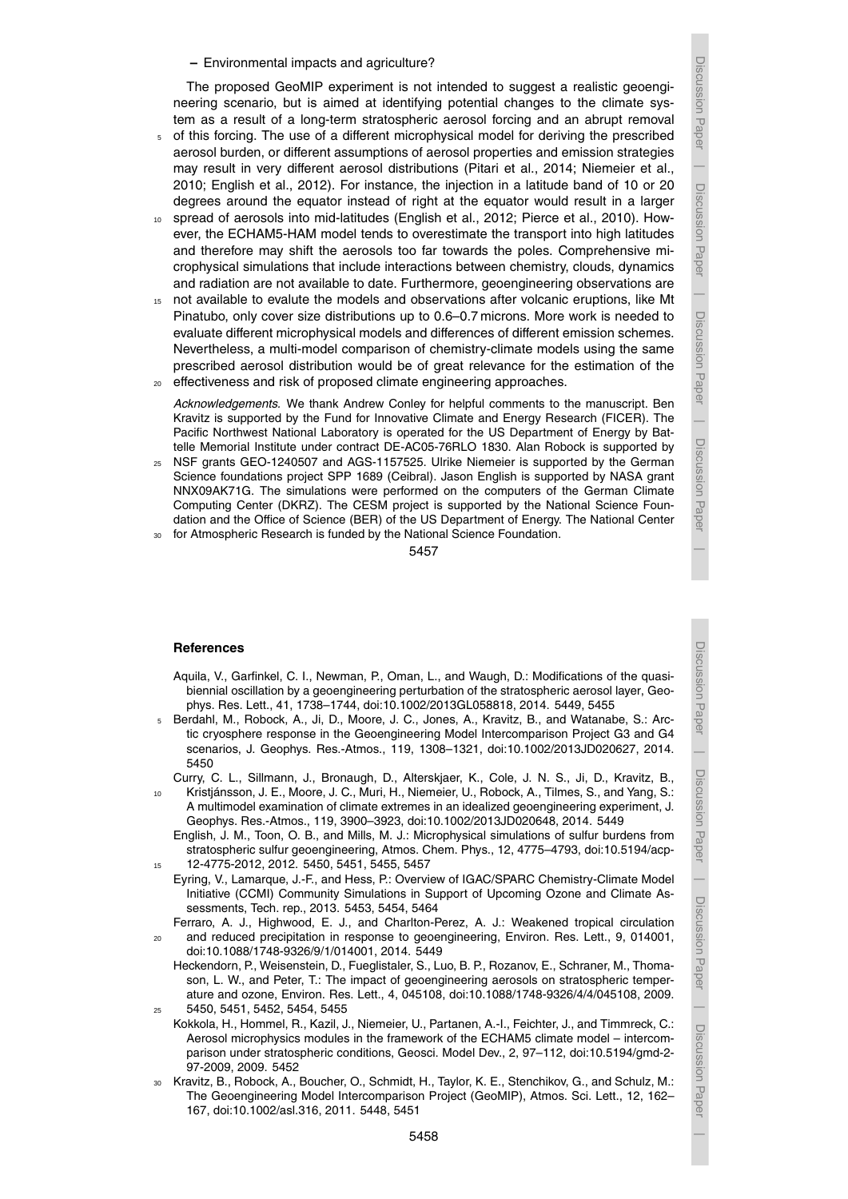**–** Environmental impacts and agriculture?

The proposed GeoMIP experiment is not intended to suggest a realistic geoengineering scenario, but is aimed at identifying potential changes to the climate system as a result of a long-term stratospheric aerosol forcing and an abrupt removal

- <sup>5</sup> of this forcing. The use of a different microphysical model for deriving the prescribed aerosol burden, or different assumptions of aerosol properties and emission strategies may result in very different aerosol distributions (Pitari et al., 2014; Niemeier et al., 2010; English et al., 2012). For instance, the injection in a latitude band of 10 or 20 degrees around the equator instead of right at the equator would result in a larger
- <sup>10</sup> spread of aerosols into mid-latitudes (English et al., 2012; Pierce et al., 2010). However, the ECHAM5-HAM model tends to overestimate the transport into high latitudes and therefore may shift the aerosols too far towards the poles. Comprehensive microphysical simulations that include interactions between chemistry, clouds, dynamics and radiation are not available to date. Furthermore, geoengineering observations are
- <sup>15</sup> not available to evalute the models and observations after volcanic eruptions, like Mt Pinatubo, only cover size distributions up to 0.6–0.7 microns. More work is needed to evaluate different microphysical models and differences of different emission schemes. Nevertheless, a multi-model comparison of chemistry-climate models using the same prescribed aerosol distribution would be of great relevance for the estimation of the effectiveness and risk of proposed climate engineering approaches.

*Acknowledgements.* We thank Andrew Conley for helpful comments to the manuscript. Ben Kravitz is supported by the Fund for Innovative Climate and Energy Research (FICER). The Pacific Northwest National Laboratory is operated for the US Department of Energy by Battelle Memorial Institute under contract DE-AC05-76RLO 1830. Alan Robock is supported by

NSF grants GEO-1240507 and AGS-1157525. Ulrike Niemeier is supported by the German Science foundations project SPP 1689 (Ceibral). Jason English is supported by NASA grant NNX09AK71G. The simulations were performed on the computers of the German Climate Computing Center (DKRZ). The CESM project is supported by the National Science Foundation and the Office of Science (BER) of the US Department of Energy. The National Center

for Atmospheric Research is funded by the National Science Foundation.

### 5457

#### **References**

- Aquila, V., Garfinkel, C. I., Newman, P., Oman, L., and Waugh, D.: Modifications of the quasibiennial oscillation by a geoengineering perturbation of the stratospheric aerosol layer, Geophys. Res. Lett., 41, 1738–1744, doi:10.1002/2013GL058818, 2014. 5449, 5455
- <sup>5</sup> Berdahl, M., Robock, A., Ji, D., Moore, J. C., Jones, A., Kravitz, B., and Watanabe, S.: Arctic cryosphere response in the Geoengineering Model Intercomparison Project G3 and G4 scenarios, J. Geophys. Res.-Atmos., 119, 1308–1321, doi:10.1002/2013JD020627, 2014. 5450
	- Curry, C. L., Sillmann, J., Bronaugh, D., Alterskjaer, K., Cole, J. N. S., Ji, D., Kravitz, B.,
- Kristjánsson, J. E., Moore, J. C., Muri, H., Niemeier, U., Robock, A., Tilmes, S., and Yang, S.: A multimodel examination of climate extremes in an idealized geoengineering experiment, J. Geophys. Res.-Atmos., 119, 3900–3923, doi:10.1002/2013JD020648, 2014. 5449
- English, J. M., Toon, O. B., and Mills, M. J.: Microphysical simulations of sulfur burdens from stratospheric sulfur geoengineering, Atmos. Chem. Phys., 12, 4775–4793, doi:10.5194/acp-<sup>15</sup> 12-4775-2012, 2012. 5450, 5451, 5455, 5457
- Eyring, V., Lamarque, J.-F., and Hess, P.: Overview of IGAC/SPARC Chemistry-Climate Model Initiative (CCMI) Community Simulations in Support of Upcoming Ozone and Climate Assessments, Tech. rep., 2013. 5453, 5454, 5464

Ferraro, A. J., Highwood, E. J., and Charlton-Perez, A. J.: Weakened tropical circulation <sup>20</sup> and reduced precipitation in response to geoengineering, Environ. Res. Lett., 9, 014001, doi:10.1088/1748-9326/9/1/014001, 2014. 5449

- Heckendorn, P., Weisenstein, D., Fueglistaler, S., Luo, B. P., Rozanov, E., Schraner, M., Thomason, L. W., and Peter, T.: The impact of geoengineering aerosols on stratospheric temperature and ozone, Environ. Res. Lett., 4, 045108, doi:10.1088/1748-9326/4/4/045108, 2009. <sup>25</sup> 5450, 5451, 5452, 5454, 5455
- Kokkola, H., Hommel, R., Kazil, J., Niemeier, U., Partanen, A.-I., Feichter, J., and Timmreck, C.: Aerosol microphysics modules in the framework of the ECHAM5 climate model – intercomparison under stratospheric conditions, Geosci. Model Dev., 2, 97–112, doi:10.5194/gmd-2- 97-2009, 2009. 5452
- <sup>30</sup> Kravitz, B., Robock, A., Boucher, O., Schmidt, H., Taylor, K. E., Stenchikov, G., and Schulz, M.: The Geoengineering Model Intercomparison Project (GeoMIP), Atmos. Sci. Lett., 12, 162– 167, doi:10.1002/asl.316, 2011. 5448, 5451

Discussion PaperDiscussion Paper |

Discussion Paper

Discussion Paper

 $\overline{\phantom{a}}$ 

 Discussion PaperDiscussion Paper

Discussion Paper

Discussion Paper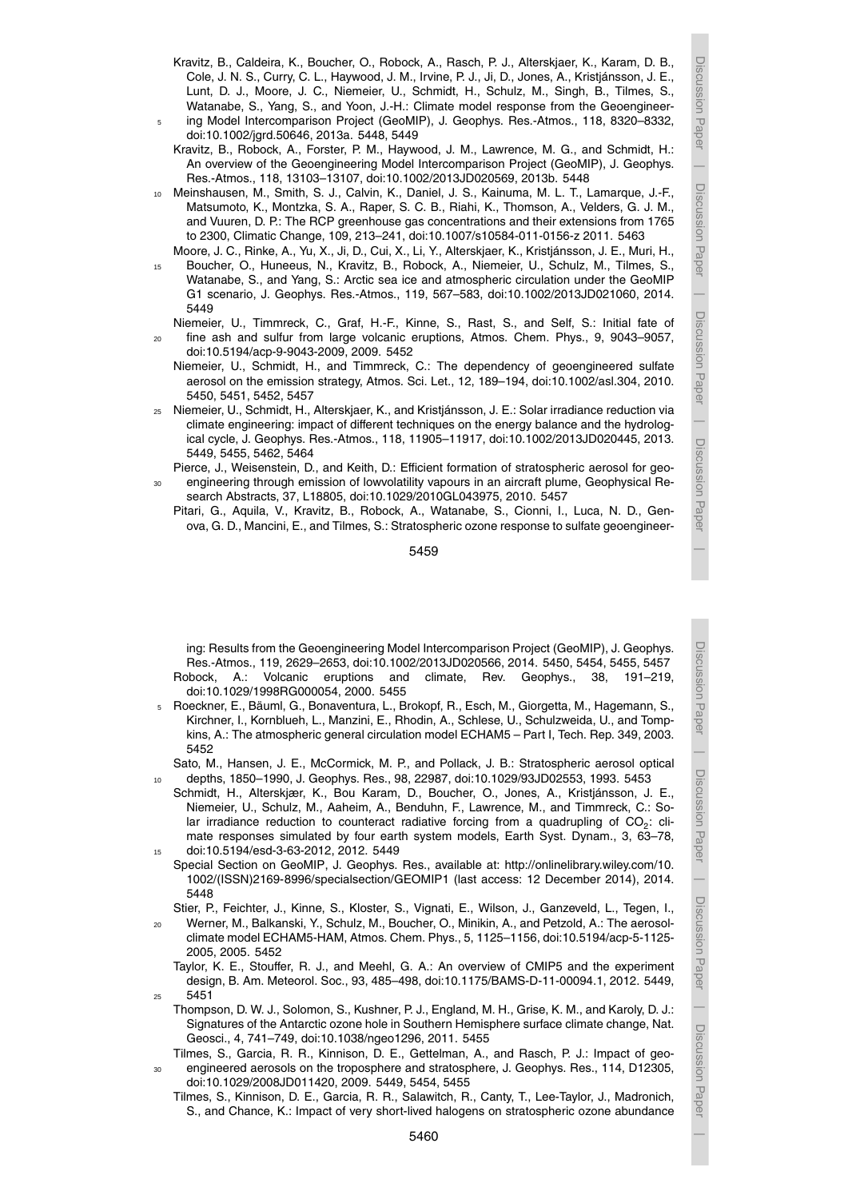$\overline{\phantom{a}}$ 

Discussion Paper

Discussion Paper

 $\overline{\phantom{a}}$ 

Discussion Paper

Discussion Paper

 $\overline{\phantom{a}}$ 

Discussion Paper

Discussion

 $\overline{\phantom{a}}$ 

I Paper

Discussion Paper

Discussion Paper

 $\overline{\phantom{a}}$ 

- Kravitz, B., Caldeira, K., Boucher, O., Robock, A., Rasch, P. J., Alterskjaer, K., Karam, D. B., Cole, J. N. S., Curry, C. L., Haywood, J. M., Irvine, P. J., Ji, D., Jones, A., Kristjánsson, J. E., Lunt, D. J., Moore, J. C., Niemeier, U., Schmidt, H., Schulz, M., Singh, B., Tilmes, S., Watanabe, S., Yang, S., and Yoon, J.-H.: Climate model response from the Geoengineering Model Intercomparison Project (GeoMIP), J. Geophys. Res.-Atmos., 118, 8320-8332,
- doi:10.1002/jgrd.50646, 2013a. 5448, 5449 Kravitz, B., Robock, A., Forster, P. M., Haywood, J. M., Lawrence, M. G., and Schmidt, H.: An overview of the Geoengineering Model Intercomparison Project (GeoMIP), J. Geophys. Res.-Atmos., 118, 13103–13107, doi:10.1002/2013JD020569, 2013b. 5448
- <sup>10</sup> Meinshausen, M., Smith, S. J., Calvin, K., Daniel, J. S., Kainuma, M. L. T., Lamarque, J.-F., Matsumoto, K., Montzka, S. A., Raper, S. C. B., Riahi, K., Thomson, A., Velders, G. J. M., and Vuuren, D. P.: The RCP greenhouse gas concentrations and their extensions from 1765 to 2300, Climatic Change, 109, 213–241, doi:10.1007/s10584-011-0156-z 2011. 5463
- Moore, J. C., Rinke, A., Yu, X., Ji, D., Cui, X., Li, Y., Alterskjaer, K., Kristjánsson, J. E., Muri, H., <sup>15</sup> Boucher, O., Huneeus, N., Kravitz, B., Robock, A., Niemeier, U., Schulz, M., Tilmes, S., Watanabe, S., and Yang, S.: Arctic sea ice and atmospheric circulation under the GeoMIP G1 scenario, J. Geophys. Res.-Atmos., 119, 567–583, doi:10.1002/2013JD021060, 2014. 5449
- Niemeier, U., Timmreck, C., Graf, H.-F., Kinne, S., Rast, S., and Self, S.: Initial fate of <sup>20</sup> fine ash and sulfur from large volcanic eruptions, Atmos. Chem. Phys., 9, 9043–9057, doi:10.5194/acp-9-9043-2009, 2009. 5452
	- Niemeier, U., Schmidt, H., and Timmreck, C.: The dependency of geoengineered sulfate aerosol on the emission strategy, Atmos. Sci. Let., 12, 189–194, doi:10.1002/asl.304, 2010. 5450, 5451, 5452, 5457
- <sup>25</sup> Niemeier, U., Schmidt, H., Alterskjaer, K., and Kristjánsson, J. E.: Solar irradiance reduction via climate engineering: impact of different techniques on the energy balance and the hydrological cycle, J. Geophys. Res.-Atmos., 118, 11905–11917, doi:10.1002/2013JD020445, 2013. 5449, 5455, 5462, 5464
- Pierce, J., Weisenstein, D., and Keith, D.: Efficient formation of stratospheric aerosol for geo-<sup>30</sup> engineering through emission of lowvolatility vapours in an aircraft plume, Geophysical Research Abstracts, 37, L18805, doi:10.1029/2010GL043975, 2010. 5457
- Pitari, G., Aquila, V., Kravitz, B., Robock, A., Watanabe, S., Cionni, I., Luca, N. D., Genova, G. D., Mancini, E., and Tilmes, S.: Stratospheric ozone response to sulfate geoengineer-

5459

ing: Results from the Geoengineering Model Intercomparison Project (GeoMIP), J. Geophys. Res.-Atmos., 119, 2629–2653, doi:10.1002/2013JD020566, 2014. 5450, 5454, 5455, 5457 Robock, A.: Volcanic eruptions and climate, Rev. Geophys., 38, 191–219, doi:10.1029/1998RG000054, 2000. 5455

<sup>5</sup> Roeckner, E., Bäuml, G., Bonaventura, L., Brokopf, R., Esch, M., Giorgetta, M., Hagemann, S., Kirchner, I., Kornblueh, L., Manzini, E., Rhodin, A., Schlese, U., Schulzweida, U., and Tompkins, A.: The atmospheric general circulation model ECHAM5 – Part I, Tech. Rep. 349, 2003. 5452

Sato, M., Hansen, J. E., McCormick, M. P., and Pollack, J. B.: Stratospheric aerosol optical <sup>10</sup> depths, 1850–1990, J. Geophys. Res., 98, 22987, doi:10.1029/93JD02553, 1993. 5453

- Schmidt, H., Alterskjær, K., Bou Karam, D., Boucher, O., Jones, A., Kristjánsson, J. E., Niemeier, U., Schulz, M., Aaheim, A., Benduhn, F., Lawrence, M., and Timmreck, C.: Solar irradiance reduction to counteract radiative forcing from a quadrupling of  $CO_2$ : climate responses simulated by four earth system models, Earth Syst. Dynam., 3, 63–78, <sup>15</sup> doi:10.5194/esd-3-63-2012, 2012. 5449
- Special Section on GeoMIP, J. Geophys. Res., available at: http://onlinelibrary.wiley.com/10. 1002/(ISSN)2169-8996/specialsection/GEOMIP1 (last access: 12 December 2014), 2014. 5448
- Stier, P., Feichter, J., Kinne, S., Kloster, S., Vignati, E., Wilson, J., Ganzeveld, L., Tegen, I., Werner, M., Balkanski, Y., Schulz, M., Boucher, O., Minikin, A., and Petzold, A.: The aerosolclimate model ECHAM5-HAM, Atmos. Chem. Phys., 5, 1125–1156, doi:10.5194/acp-5-1125-
- 2005, 2005. 5452 Taylor, K. E., Stouffer, R. J., and Meehl, G. A.: An overview of CMIP5 and the experiment design, B. Am. Meteorol. Soc., 93, 485–498, doi:10.1175/BAMS-D-11-00094.1, 2012. 5449,  $25 - 5451$ 
	- Thompson, D. W. J., Solomon, S., Kushner, P. J., England, M. H., Grise, K. M., and Karoly, D. J.: Signatures of the Antarctic ozone hole in Southern Hemisphere surface climate change, Nat. Geosci., 4, 741–749, doi:10.1038/ngeo1296, 2011. 5455
- Tilmes, S., Garcia, R. R., Kinnison, D. E., Gettelman, A., and Rasch, P. J.: Impact of geo-<sup>30</sup> engineered aerosols on the troposphere and stratosphere, J. Geophys. Res., 114, D12305, doi:10.1029/2008JD011420, 2009. 5449, 5454, 5455
	- Tilmes, S., Kinnison, D. E., Garcia, R. R., Salawitch, R., Canty, T., Lee-Taylor, J., Madronich, S., and Chance, K.: Impact of very short-lived halogens on stratospheric ozone abundance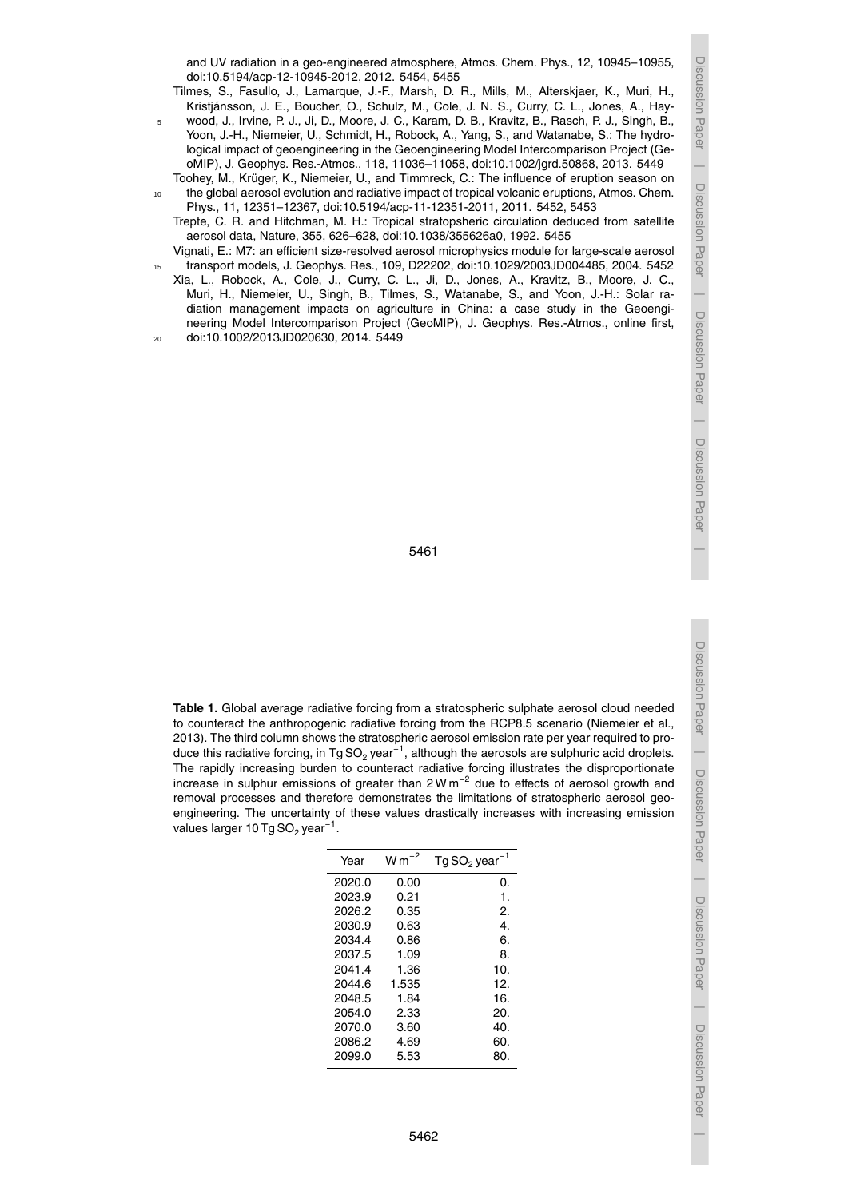5461

and UV radiation in a geo-engineered atmosphere, Atmos. Chem. Phys., 12, 10945–10955,

Tilmes, S., Fasullo, J., Lamarque, J.-F., Marsh, D. R., Mills, M., Alterskjaer, K., Muri, H., Kristjánsson, J. E., Boucher, O., Schulz, M., Cole, J. N. S., Curry, C. L., Jones, A., Haywood, J., Irvine, P. J., Ji, D., Moore, J. C., Karam, D. B., Kravitz, B., Rasch, P. J., Singh, B., Yoon, J.-H., Niemeier, U., Schmidt, H., Robock, A., Yang, S., and Watanabe, S.: The hydrological impact of geoengineering in the Geoengineering Model Intercomparison Project (GeoMIP), J. Geophys. Res.-Atmos., 118, 11036–11058, doi:10.1002/jgrd.50868, 2013. 5449 Toohey, M., Krüger, K., Niemeier, U., and Timmreck, C.: The influence of eruption season on <sup>10</sup> the global aerosol evolution and radiative impact of tropical volcanic eruptions, Atmos. Chem. Phys., 11, 12351–12367, doi:10.5194/acp-11-12351-2011, 2011. 5452, 5453

Trepte, C. R. and Hitchman, M. H.: Tropical stratopsheric circulation deduced from satellite

Vignati, E.: M7: an efficient size-resolved aerosol microphysics module for large-scale aerosol <sup>15</sup> transport models, J. Geophys. Res., 109, D22202, doi:10.1029/2003JD004485, 2004. 5452 Xia, L., Robock, A., Cole, J., Curry, C. L., Ji, D., Jones, A., Kravitz, B., Moore, J. C., Muri, H., Niemeier, U., Singh, B., Tilmes, S., Watanabe, S., and Yoon, J.-H.: Solar radiation management impacts on agriculture in China: a case study in the Geoengineering Model Intercomparison Project (GeoMIP), J. Geophys. Res.-Atmos., online first,

aerosol data, Nature, 355, 626–628, doi:10.1038/355626a0, 1992. 5455

doi:10.5194/acp-12-10945-2012, 2012. 5454, 5455

<sup>20</sup> doi:10.1002/2013JD020630, 2014. 5449

**Table 1.** Global average radiative forcing from a stratospheric sulphate aerosol cloud needed to counteract the anthropogenic radiative forcing from the RCP8.5 scenario (Niemeier et al., 2013). The third column shows the stratospheric aerosol emission rate per year required to produce this radiative forcing, in Tg SO<sub>2</sub> year<sup>−1</sup>, although the aerosols are sulphuric acid droplets. The rapidly increasing burden to counteract radiative forcing illustrates the disproportionate increase in sulphur emissions of greater than 2Wm<sup>-2</sup> due to effects of aerosol growth and removal processes and therefore demonstrates the limitations of stratospheric aerosol geoengineering. The uncertainty of these values drastically increases with increasing emission values larger 10 Tg SO $_2$  year $^{\texttt{-1}}$ .

| Year   | $W m^{-2}$ | $Tg$ SO <sub>2</sub> year <sup>-1</sup> |
|--------|------------|-----------------------------------------|
| 2020.0 | 0.00       | 0.                                      |
| 2023.9 | 0.21       | 1.                                      |
| 2026.2 | 0.35       | 2.                                      |
| 2030.9 | 0.63       | 4.                                      |
| 2034.4 | 0.86       | 6.                                      |
| 2037.5 | 1.09       | 8.                                      |
| 2041.4 | 1.36       | 10.                                     |
| 2044.6 | 1.535      | 12.                                     |
| 2048.5 | 1.84       | 16.                                     |
| 2054.0 | 2.33       | 20.                                     |
| 2070.0 | 3.60       | 40.                                     |
| 2086.2 | 4.69       | 60.                                     |
| 2099.0 | 5.53       | 80.                                     |

Discussion Paper

 $\overline{\phantom{a}}$ 

Discussion Paper

 $\overline{\phantom{a}}$ 

Discussion Paper

 $\overline{\phantom{a}}$